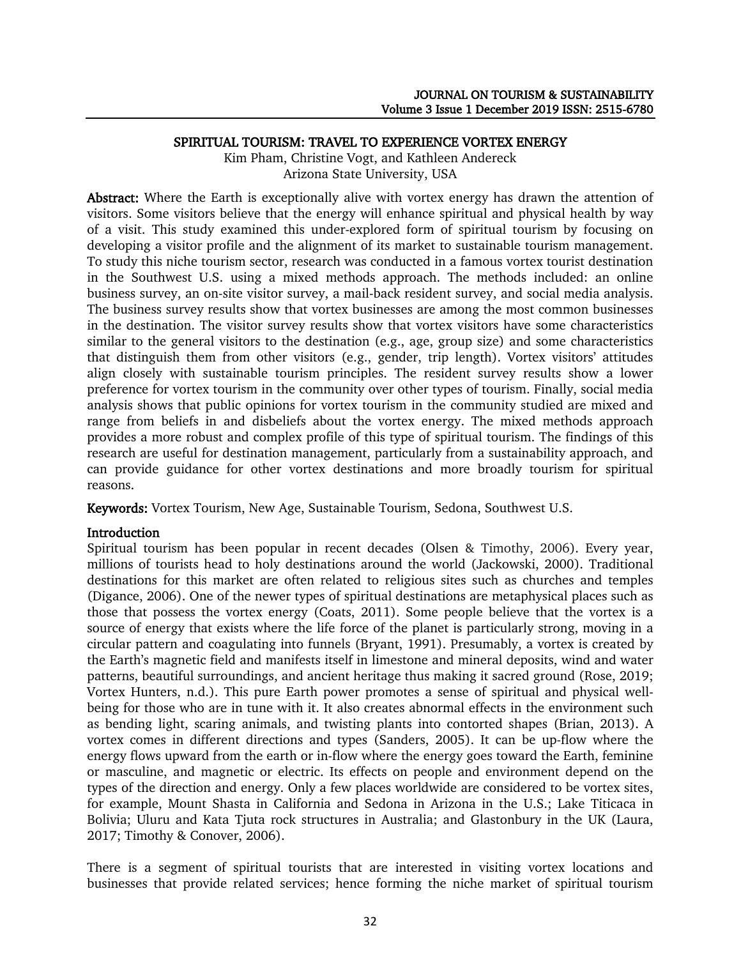### SPIRITUAL TOURISM: TRAVEL TO EXPERIENCE VORTEX ENERGY

Kim Pham, Christine Vogt, and Kathleen Andereck Arizona State University, USA

Abstract: Where the Earth is exceptionally alive with vortex energy has drawn the attention of visitors. Some visitors believe that the energy will enhance spiritual and physical health by way of a visit. This study examined this under-explored form of spiritual tourism by focusing on developing a visitor profile and the alignment of its market to sustainable tourism management. To study this niche tourism sector, research was conducted in a famous vortex tourist destination in the Southwest U.S. using a mixed methods approach. The methods included: an online business survey, an on-site visitor survey, a mail-back resident survey, and social media analysis. The business survey results show that vortex businesses are among the most common businesses in the destination. The visitor survey results show that vortex visitors have some characteristics similar to the general visitors to the destination (e.g., age, group size) and some characteristics that distinguish them from other visitors (e.g., gender, trip length). Vortex visitors' attitudes align closely with sustainable tourism principles. The resident survey results show a lower preference for vortex tourism in the community over other types of tourism. Finally, social media analysis shows that public opinions for vortex tourism in the community studied are mixed and range from beliefs in and disbeliefs about the vortex energy. The mixed methods approach provides a more robust and complex profile of this type of spiritual tourism. The findings of this research are useful for destination management, particularly from a sustainability approach, and can provide guidance for other vortex destinations and more broadly tourism for spiritual reasons.

Keywords: Vortex Tourism, New Age, Sustainable Tourism, Sedona, Southwest U.S.

# Introduction

Spiritual tourism has been popular in recent decades (Olsen & Timothy, 2006). Every year, millions of tourists head to holy destinations around the world (Jackowski, 2000). Traditional destinations for this market are often related to religious sites such as churches and temples (Digance, 2006). One of the newer types of spiritual destinations are metaphysical places such as those that possess the vortex energy (Coats, 2011). Some people believe that the vortex is a source of energy that exists where the life force of the planet is particularly strong, moving in a circular pattern and coagulating into funnels (Bryant, 1991). Presumably, a vortex is created by the Earth's magnetic field and manifests itself in limestone and mineral deposits, wind and water patterns, beautiful surroundings, and ancient heritage thus making it sacred ground (Rose, 2019; Vortex Hunters, n.d.). This pure Earth power promotes a sense of spiritual and physical wellbeing for those who are in tune with it. It also creates abnormal effects in the environment such as bending light, scaring animals, and twisting plants into contorted shapes (Brian, 2013). A vortex comes in different directions and types (Sanders, 2005). It can be up-flow where the energy flows upward from the earth or in-flow where the energy goes toward the Earth, feminine or masculine, and magnetic or electric. Its effects on people and environment depend on the types of the direction and energy. Only a few places worldwide are considered to be vortex sites, for example, Mount Shasta in California and Sedona in Arizona in the U.S.; Lake Titicaca in Bolivia; Uluru and Kata Tjuta rock structures in Australia; and Glastonbury in the UK (Laura, 2017; Timothy & Conover, 2006).

There is a segment of spiritual tourists that are interested in visiting vortex locations and businesses that provide related services; hence forming the niche market of spiritual tourism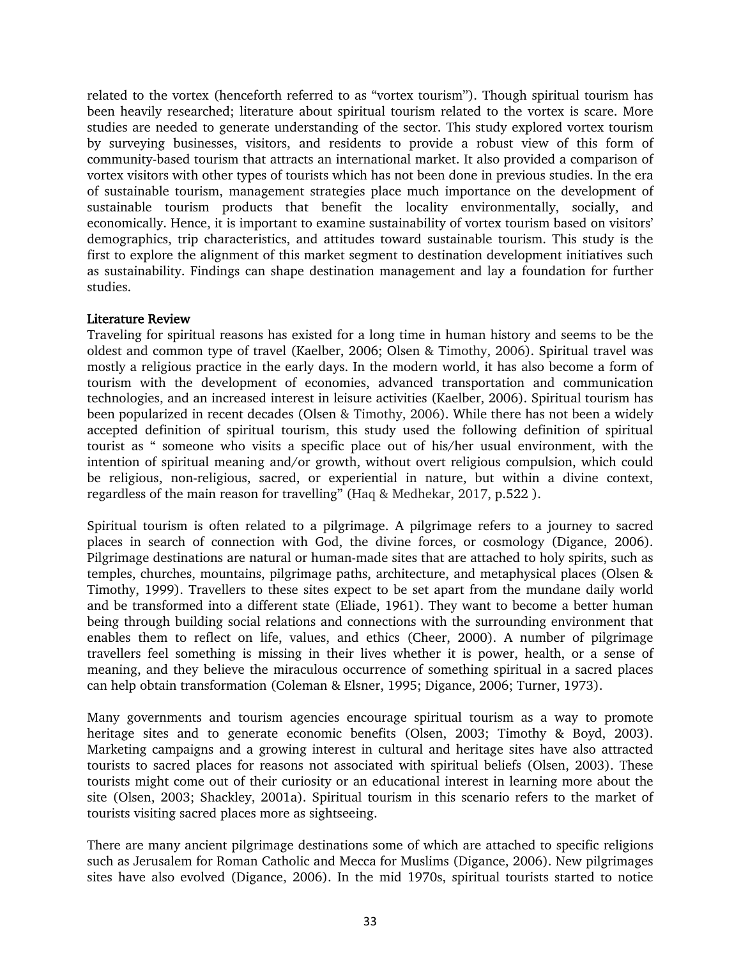related to the vortex (henceforth referred to as "vortex tourism"). Though spiritual tourism has been heavily researched; literature about spiritual tourism related to the vortex is scare. More studies are needed to generate understanding of the sector. This study explored vortex tourism by surveying businesses, visitors, and residents to provide a robust view of this form of community-based tourism that attracts an international market. It also provided a comparison of vortex visitors with other types of tourists which has not been done in previous studies. In the era of sustainable tourism, management strategies place much importance on the development of sustainable tourism products that benefit the locality environmentally, socially, and economically. Hence, it is important to examine sustainability of vortex tourism based on visitors' demographics, trip characteristics, and attitudes toward sustainable tourism. This study is the first to explore the alignment of this market segment to destination development initiatives such as sustainability. Findings can shape destination management and lay a foundation for further studies.

### Literature Review

Traveling for spiritual reasons has existed for a long time in human history and seems to be the oldest and common type of travel (Kaelber, 2006; Olsen & Timothy, 2006). Spiritual travel was mostly a religious practice in the early days. In the modern world, it has also become a form of tourism with the development of economies, advanced transportation and communication technologies, and an increased interest in leisure activities (Kaelber, 2006). Spiritual tourism has been popularized in recent decades (Olsen & Timothy, 2006). While there has not been a widely accepted definition of spiritual tourism, this study used the following definition of spiritual tourist as " someone who visits a specific place out of his/her usual environment, with the intention of spiritual meaning and/or growth, without overt religious compulsion, which could be religious, non-religious, sacred, or experiential in nature, but within a divine context, regardless of the main reason for travelling" (Haq & Medhekar, 2017, p.522 ).

Spiritual tourism is often related to a pilgrimage. A pilgrimage refers to a journey to sacred places in search of connection with God, the divine forces, or cosmology (Digance, 2006). Pilgrimage destinations are natural or human-made sites that are attached to holy spirits, such as temples, churches, mountains, pilgrimage paths, architecture, and metaphysical places (Olsen & Timothy, 1999). Travellers to these sites expect to be set apart from the mundane daily world and be transformed into a different state (Eliade, 1961). They want to become a better human being through building social relations and connections with the surrounding environment that enables them to reflect on life, values, and ethics (Cheer, 2000). A number of pilgrimage travellers feel something is missing in their lives whether it is power, health, or a sense of meaning, and they believe the miraculous occurrence of something spiritual in a sacred places can help obtain transformation (Coleman & Elsner, 1995; Digance, 2006; Turner, 1973).

Many governments and tourism agencies encourage spiritual tourism as a way to promote heritage sites and to generate economic benefits (Olsen, 2003; Timothy & Boyd, 2003). Marketing campaigns and a growing interest in cultural and heritage sites have also attracted tourists to sacred places for reasons not associated with spiritual beliefs (Olsen, 2003). These tourists might come out of their curiosity or an educational interest in learning more about the site (Olsen, 2003; Shackley, 2001a). Spiritual tourism in this scenario refers to the market of tourists visiting sacred places more as sightseeing.

There are many ancient pilgrimage destinations some of which are attached to specific religions such as Jerusalem for Roman Catholic and Mecca for Muslims (Digance, 2006). New pilgrimages sites have also evolved (Digance, 2006). In the mid 1970s, spiritual tourists started to notice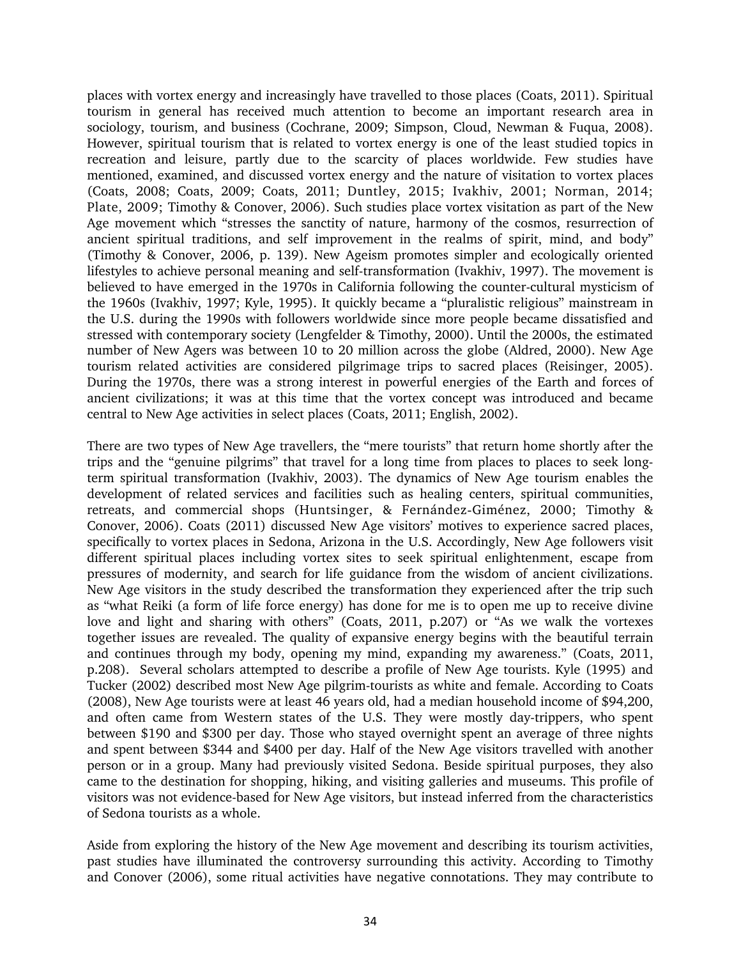places with vortex energy and increasingly have travelled to those places (Coats, 2011). Spiritual tourism in general has received much attention to become an important research area in sociology, tourism, and business (Cochrane, 2009; Simpson, Cloud, Newman & Fuqua, 2008). However, spiritual tourism that is related to vortex energy is one of the least studied topics in recreation and leisure, partly due to the scarcity of places worldwide. Few studies have mentioned, examined, and discussed vortex energy and the nature of visitation to vortex places (Coats, 2008; Coats, 2009; Coats, 2011; Duntley, 2015; Ivakhiv, 2001; Norman, 2014; Plate, 2009; Timothy & Conover, 2006). Such studies place vortex visitation as part of the New Age movement which "stresses the sanctity of nature, harmony of the cosmos, resurrection of ancient spiritual traditions, and self improvement in the realms of spirit, mind, and body" (Timothy & Conover, 2006, p. 139). New Ageism promotes simpler and ecologically oriented lifestyles to achieve personal meaning and self-transformation (Ivakhiv, 1997). The movement is believed to have emerged in the 1970s in California following the counter-cultural mysticism of the 1960s (Ivakhiv, 1997; Kyle, 1995). It quickly became a "pluralistic religious" mainstream in the U.S. during the 1990s with followers worldwide since more people became dissatisfied and stressed with contemporary society (Lengfelder & Timothy, 2000). Until the 2000s, the estimated number of New Agers was between 10 to 20 million across the globe (Aldred, 2000). New Age tourism related activities are considered pilgrimage trips to sacred places (Reisinger, 2005). During the 1970s, there was a strong interest in powerful energies of the Earth and forces of ancient civilizations; it was at this time that the vortex concept was introduced and became central to New Age activities in select places (Coats, 2011; English, 2002).

There are two types of New Age travellers, the "mere tourists" that return home shortly after the trips and the "genuine pilgrims" that travel for a long time from places to places to seek longterm spiritual transformation (Ivakhiv, 2003). The dynamics of New Age tourism enables the development of related services and facilities such as healing centers, spiritual communities, retreats, and commercial shops (Huntsinger, & Fernández‐Giménez, 2000; Timothy & Conover, 2006). Coats (2011) discussed New Age visitors' motives to experience sacred places, specifically to vortex places in Sedona, Arizona in the U.S. Accordingly, New Age followers visit different spiritual places including vortex sites to seek spiritual enlightenment, escape from pressures of modernity, and search for life guidance from the wisdom of ancient civilizations. New Age visitors in the study described the transformation they experienced after the trip such as "what Reiki (a form of life force energy) has done for me is to open me up to receive divine love and light and sharing with others" (Coats, 2011, p.207) or "As we walk the vortexes together issues are revealed. The quality of expansive energy begins with the beautiful terrain and continues through my body, opening my mind, expanding my awareness." (Coats, 2011, p.208). Several scholars attempted to describe a profile of New Age tourists. Kyle (1995) and Tucker (2002) described most New Age pilgrim-tourists as white and female. According to Coats (2008), New Age tourists were at least 46 years old, had a median household income of \$94,200, and often came from Western states of the U.S. They were mostly day-trippers, who spent between \$190 and \$300 per day. Those who stayed overnight spent an average of three nights and spent between \$344 and \$400 per day. Half of the New Age visitors travelled with another person or in a group. Many had previously visited Sedona. Beside spiritual purposes, they also came to the destination for shopping, hiking, and visiting galleries and museums. This profile of visitors was not evidence-based for New Age visitors, but instead inferred from the characteristics of Sedona tourists as a whole.

Aside from exploring the history of the New Age movement and describing its tourism activities, past studies have illuminated the controversy surrounding this activity. According to Timothy and Conover (2006), some ritual activities have negative connotations. They may contribute to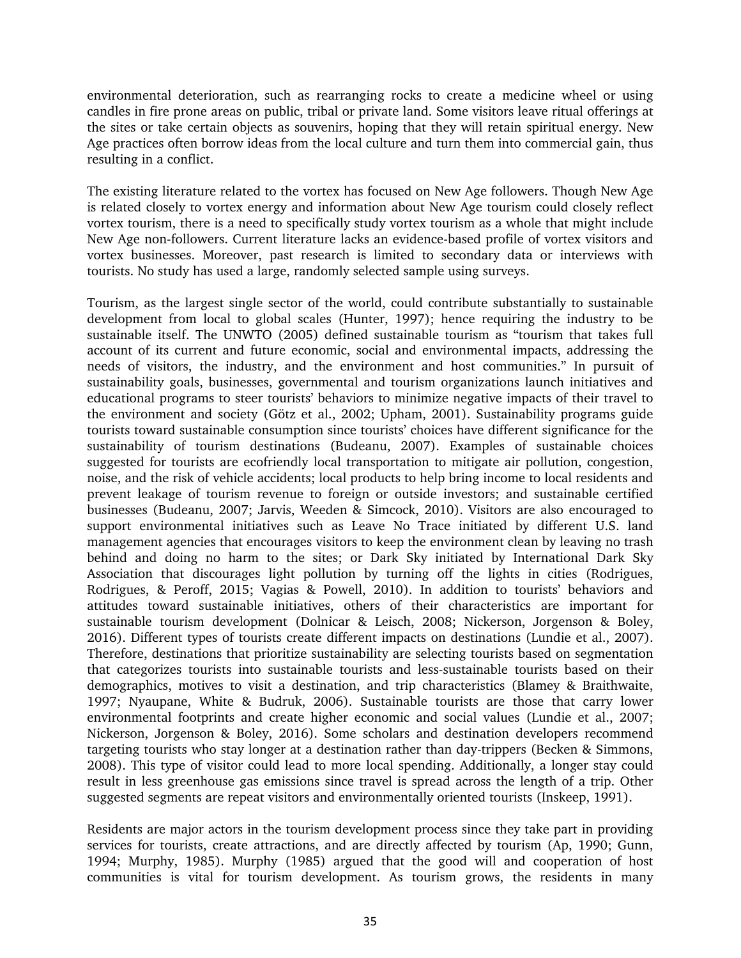environmental deterioration, such as rearranging rocks to create a medicine wheel or using candles in fire prone areas on public, tribal or private land. Some visitors leave ritual offerings at the sites or take certain objects as souvenirs, hoping that they will retain spiritual energy. New Age practices often borrow ideas from the local culture and turn them into commercial gain, thus resulting in a conflict.

The existing literature related to the vortex has focused on New Age followers. Though New Age is related closely to vortex energy and information about New Age tourism could closely reflect vortex tourism, there is a need to specifically study vortex tourism as a whole that might include New Age non-followers. Current literature lacks an evidence-based profile of vortex visitors and vortex businesses. Moreover, past research is limited to secondary data or interviews with tourists. No study has used a large, randomly selected sample using surveys.

Tourism, as the largest single sector of the world, could contribute substantially to sustainable development from local to global scales (Hunter, 1997); hence requiring the industry to be sustainable itself. The UNWTO (2005) defined sustainable tourism as "tourism that takes full account of its current and future economic, social and environmental impacts, addressing the needs of visitors, the industry, and the environment and host communities." In pursuit of sustainability goals, businesses, governmental and tourism organizations launch initiatives and educational programs to steer tourists' behaviors to minimize negative impacts of their travel to the environment and society (Götz et al., 2002; Upham, 2001). Sustainability programs guide tourists toward sustainable consumption since tourists' choices have different significance for the sustainability of tourism destinations (Budeanu, 2007). Examples of sustainable choices suggested for tourists are ecofriendly local transportation to mitigate air pollution, congestion, noise, and the risk of vehicle accidents; local products to help bring income to local residents and prevent leakage of tourism revenue to foreign or outside investors; and sustainable certified businesses (Budeanu, 2007; Jarvis, Weeden & Simcock, 2010). Visitors are also encouraged to support environmental initiatives such as Leave No Trace initiated by different U.S. land management agencies that encourages visitors to keep the environment clean by leaving no trash behind and doing no harm to the sites; or Dark Sky initiated by International Dark Sky Association that discourages light pollution by turning off the lights in cities (Rodrigues, Rodrigues, & Peroff, 2015; Vagias & Powell, 2010). In addition to tourists' behaviors and attitudes toward sustainable initiatives, others of their characteristics are important for sustainable tourism development (Dolnicar & Leisch, 2008; Nickerson, Jorgenson & Boley, 2016). Different types of tourists create different impacts on destinations (Lundie et al., 2007). Therefore, destinations that prioritize sustainability are selecting tourists based on segmentation that categorizes tourists into sustainable tourists and less-sustainable tourists based on their demographics, motives to visit a destination, and trip characteristics (Blamey & Braithwaite, 1997; Nyaupane, White & Budruk, 2006). Sustainable tourists are those that carry lower environmental footprints and create higher economic and social values (Lundie et al., 2007; Nickerson, Jorgenson & Boley, 2016). Some scholars and destination developers recommend targeting tourists who stay longer at a destination rather than day-trippers (Becken & Simmons, 2008). This type of visitor could lead to more local spending. Additionally, a longer stay could result in less greenhouse gas emissions since travel is spread across the length of a trip. Other suggested segments are repeat visitors and environmentally oriented tourists (Inskeep, 1991).

Residents are major actors in the tourism development process since they take part in providing services for tourists, create attractions, and are directly affected by tourism (Ap, 1990; Gunn, 1994; Murphy, 1985). Murphy (1985) argued that the good will and cooperation of host communities is vital for tourism development. As tourism grows, the residents in many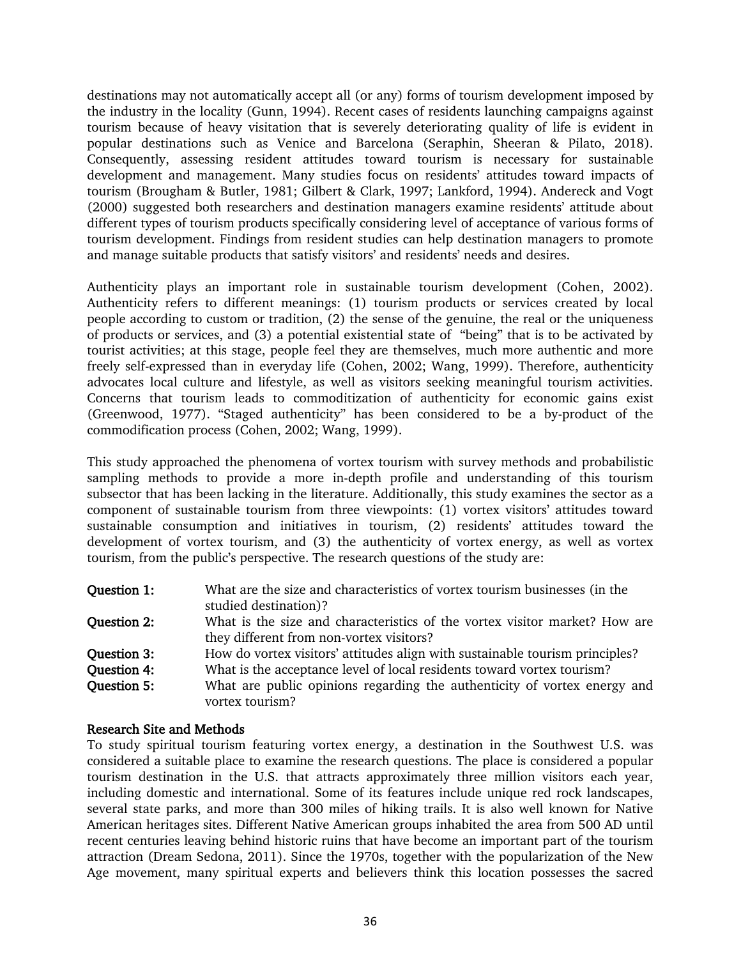destinations may not automatically accept all (or any) forms of tourism development imposed by the industry in the locality (Gunn, 1994). Recent cases of residents launching campaigns against tourism because of heavy visitation that is severely deteriorating quality of life is evident in popular destinations such as Venice and Barcelona (Seraphin, Sheeran & Pilato, 2018). Consequently, assessing resident attitudes toward tourism is necessary for sustainable development and management. Many studies focus on residents' attitudes toward impacts of tourism (Brougham & Butler, 1981; Gilbert & Clark, 1997; Lankford, 1994). Andereck and Vogt (2000) suggested both researchers and destination managers examine residents' attitude about different types of tourism products specifically considering level of acceptance of various forms of tourism development. Findings from resident studies can help destination managers to promote and manage suitable products that satisfy visitors' and residents' needs and desires.

Authenticity plays an important role in sustainable tourism development (Cohen, 2002). Authenticity refers to different meanings: (1) tourism products or services created by local people according to custom or tradition, (2) the sense of the genuine, the real or the uniqueness of products or services, and (3) a potential existential state of "being" that is to be activated by tourist activities; at this stage, people feel they are themselves, much more authentic and more freely self-expressed than in everyday life (Cohen, 2002; Wang, 1999). Therefore, authenticity advocates local culture and lifestyle, as well as visitors seeking meaningful tourism activities. Concerns that tourism leads to commoditization of authenticity for economic gains exist (Greenwood, 1977). "Staged authenticity" has been considered to be a by-product of the commodification process (Cohen, 2002; Wang, 1999).

This study approached the phenomena of vortex tourism with survey methods and probabilistic sampling methods to provide a more in-depth profile and understanding of this tourism subsector that has been lacking in the literature. Additionally, this study examines the sector as a component of sustainable tourism from three viewpoints: (1) vortex visitors' attitudes toward sustainable consumption and initiatives in tourism, (2) residents' attitudes toward the development of vortex tourism, and (3) the authenticity of vortex energy, as well as vortex tourism, from the public's perspective. The research questions of the study are:

- Question 1: What are the size and characteristics of vortex tourism businesses (in the studied destination)?
- Question 2: What is the size and characteristics of the vortex visitor market? How are they different from non-vortex visitors?
- **Ouestion 3:** How do vortex visitors' attitudes align with sustainable tourism principles?
- Question 4: What is the acceptance level of local residents toward vortex tourism?
- **Question 5:** What are public opinions regarding the authenticity of vortex energy and vortex tourism?

### Research Site and Methods

To study spiritual tourism featuring vortex energy, a destination in the Southwest U.S. was considered a suitable place to examine the research questions. The place is considered a popular tourism destination in the U.S. that attracts approximately three million visitors each year, including domestic and international. Some of its features include unique red rock landscapes, several state parks, and more than 300 miles of hiking trails. It is also well known for Native American heritages sites. Different Native American groups inhabited the area from 500 AD until recent centuries leaving behind historic ruins that have become an important part of the tourism attraction (Dream Sedona, 2011). Since the 1970s, together with the popularization of the New Age movement, many spiritual experts and believers think this location possesses the sacred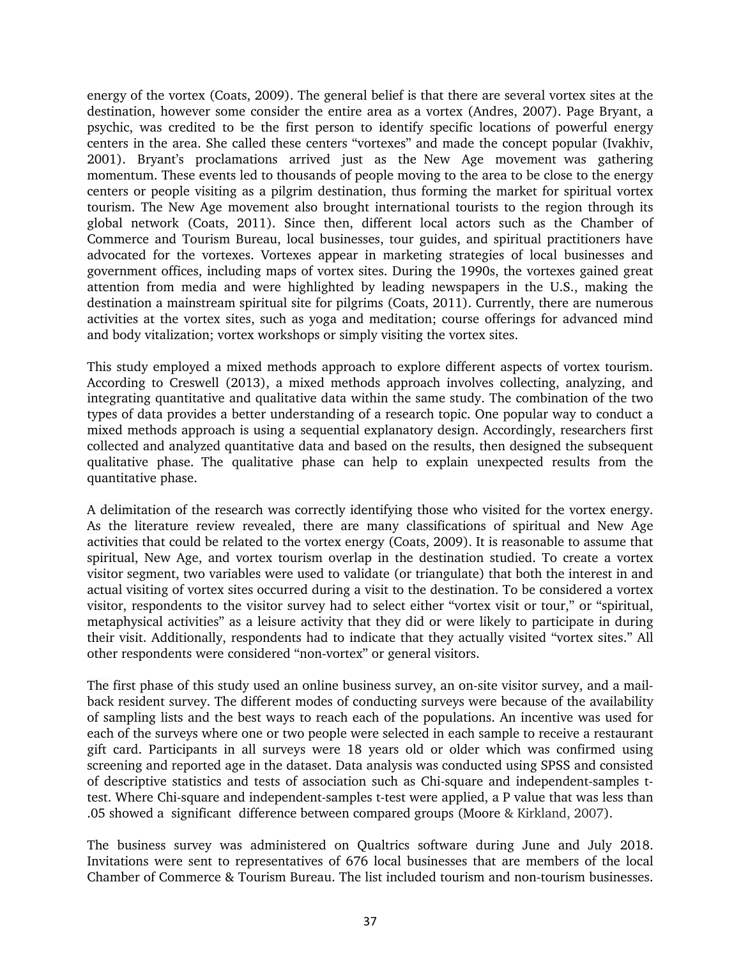energy of the vortex (Coats, 2009). The general belief is that there are several vortex sites at the destination, however some consider the entire area as a vortex (Andres, 2007). Page Bryant, a psychic, was credited to be the first person to identify specific locations of powerful energy centers in the area. She called these centers "vortexes" and made the concept popular (Ivakhiv, 2001). Bryant's proclamations arrived just as the New Age movement was gathering momentum. These events led to thousands of people moving to the area to be close to the energy centers or people visiting as a pilgrim destination, thus forming the market for spiritual vortex tourism. The New Age movement also brought international tourists to the region through its global network (Coats, 2011). Since then, different local actors such as the Chamber of Commerce and Tourism Bureau, local businesses, tour guides, and spiritual practitioners have advocated for the vortexes. Vortexes appear in marketing strategies of local businesses and government offices, including maps of vortex sites. During the 1990s, the vortexes gained great attention from media and were highlighted by leading newspapers in the U.S., making the destination a mainstream spiritual site for pilgrims (Coats, 2011). Currently, there are numerous activities at the vortex sites, such as yoga and meditation; course offerings for advanced mind and body vitalization; vortex workshops or simply visiting the vortex sites.

This study employed a mixed methods approach to explore different aspects of vortex tourism. According to Creswell (2013), a mixed methods approach involves collecting, analyzing, and integrating quantitative and qualitative data within the same study. The combination of the two types of data provides a better understanding of a research topic. One popular way to conduct a mixed methods approach is using a sequential explanatory design. Accordingly, researchers first collected and analyzed quantitative data and based on the results, then designed the subsequent qualitative phase. The qualitative phase can help to explain unexpected results from the quantitative phase.

A delimitation of the research was correctly identifying those who visited for the vortex energy. As the literature review revealed, there are many classifications of spiritual and New Age activities that could be related to the vortex energy (Coats, 2009). It is reasonable to assume that spiritual, New Age, and vortex tourism overlap in the destination studied. To create a vortex visitor segment, two variables were used to validate (or triangulate) that both the interest in and actual visiting of vortex sites occurred during a visit to the destination. To be considered a vortex visitor, respondents to the visitor survey had to select either "vortex visit or tour," or "spiritual, metaphysical activities" as a leisure activity that they did or were likely to participate in during their visit. Additionally, respondents had to indicate that they actually visited "vortex sites." All other respondents were considered "non-vortex" or general visitors.

The first phase of this study used an online business survey, an on-site visitor survey, and a mailback resident survey. The different modes of conducting surveys were because of the availability of sampling lists and the best ways to reach each of the populations. An incentive was used for each of the surveys where one or two people were selected in each sample to receive a restaurant gift card. Participants in all surveys were 18 years old or older which was confirmed using screening and reported age in the dataset. Data analysis was conducted using SPSS and consisted of descriptive statistics and tests of association such as Chi-square and independent-samples ttest. Where Chi-square and independent-samples t-test were applied, a P value that was less than .05 showed a significant difference between compared groups (Moore & Kirkland, 2007).

The business survey was administered on Qualtrics software during June and July 2018. Invitations were sent to representatives of 676 local businesses that are members of the local Chamber of Commerce & Tourism Bureau. The list included tourism and non-tourism businesses.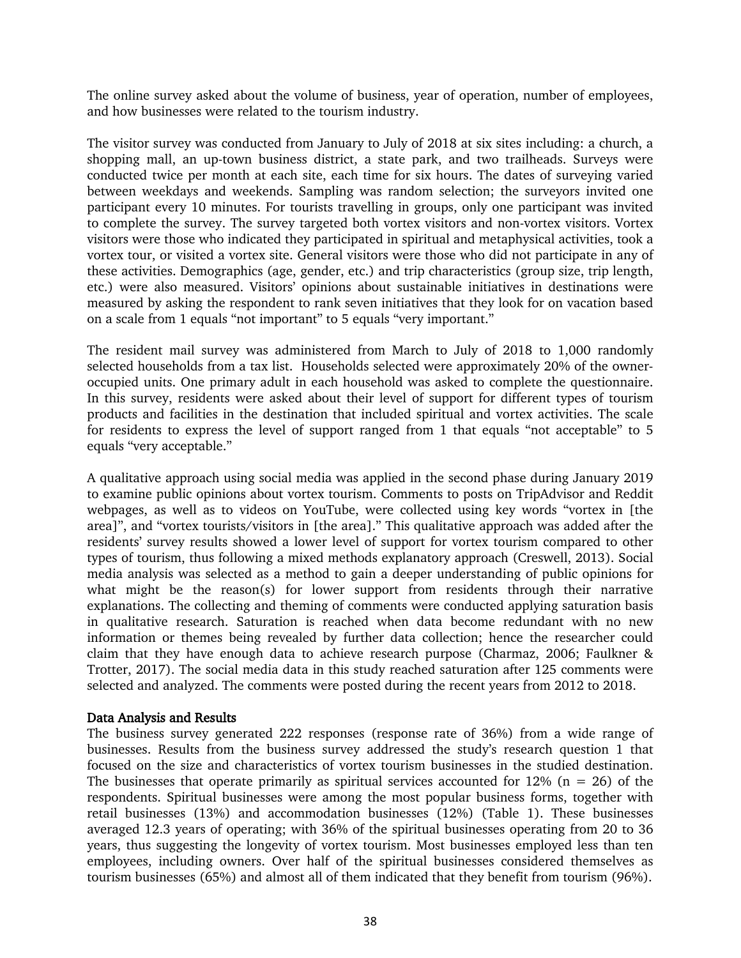The online survey asked about the volume of business, year of operation, number of employees, and how businesses were related to the tourism industry.

The visitor survey was conducted from January to July of 2018 at six sites including: a church, a shopping mall, an up-town business district, a state park, and two trailheads. Surveys were conducted twice per month at each site, each time for six hours. The dates of surveying varied between weekdays and weekends. Sampling was random selection; the surveyors invited one participant every 10 minutes. For tourists travelling in groups, only one participant was invited to complete the survey. The survey targeted both vortex visitors and non-vortex visitors. Vortex visitors were those who indicated they participated in spiritual and metaphysical activities, took a vortex tour, or visited a vortex site. General visitors were those who did not participate in any of these activities. Demographics (age, gender, etc.) and trip characteristics (group size, trip length, etc.) were also measured. Visitors' opinions about sustainable initiatives in destinations were measured by asking the respondent to rank seven initiatives that they look for on vacation based on a scale from 1 equals "not important" to 5 equals "very important."

The resident mail survey was administered from March to July of 2018 to 1,000 randomly selected households from a tax list. Households selected were approximately 20% of the owneroccupied units. One primary adult in each household was asked to complete the questionnaire. In this survey, residents were asked about their level of support for different types of tourism products and facilities in the destination that included spiritual and vortex activities. The scale for residents to express the level of support ranged from 1 that equals "not acceptable" to 5 equals "very acceptable."

A qualitative approach using social media was applied in the second phase during January 2019 to examine public opinions about vortex tourism. Comments to posts on TripAdvisor and Reddit webpages, as well as to videos on YouTube, were collected using key words "vortex in [the area]", and "vortex tourists/visitors in [the area]." This qualitative approach was added after the residents' survey results showed a lower level of support for vortex tourism compared to other types of tourism, thus following a mixed methods explanatory approach (Creswell, 2013). Social media analysis was selected as a method to gain a deeper understanding of public opinions for what might be the reason(s) for lower support from residents through their narrative explanations. The collecting and theming of comments were conducted applying saturation basis in qualitative research. Saturation is reached when data become redundant with no new information or themes being revealed by further data collection; hence the researcher could claim that they have enough data to achieve research purpose (Charmaz, 2006; Faulkner & Trotter, 2017). The social media data in this study reached saturation after 125 comments were selected and analyzed. The comments were posted during the recent years from 2012 to 2018.

#### Data Analysis and Results

The business survey generated 222 responses (response rate of 36%) from a wide range of businesses. Results from the business survey addressed the study's research question 1 that focused on the size and characteristics of vortex tourism businesses in the studied destination. The businesses that operate primarily as spiritual services accounted for  $12\%$  (n = 26) of the respondents. Spiritual businesses were among the most popular business forms, together with retail businesses (13%) and accommodation businesses (12%) (Table 1). These businesses averaged 12.3 years of operating; with 36% of the spiritual businesses operating from 20 to 36 years, thus suggesting the longevity of vortex tourism. Most businesses employed less than ten employees, including owners. Over half of the spiritual businesses considered themselves as tourism businesses (65%) and almost all of them indicated that they benefit from tourism (96%).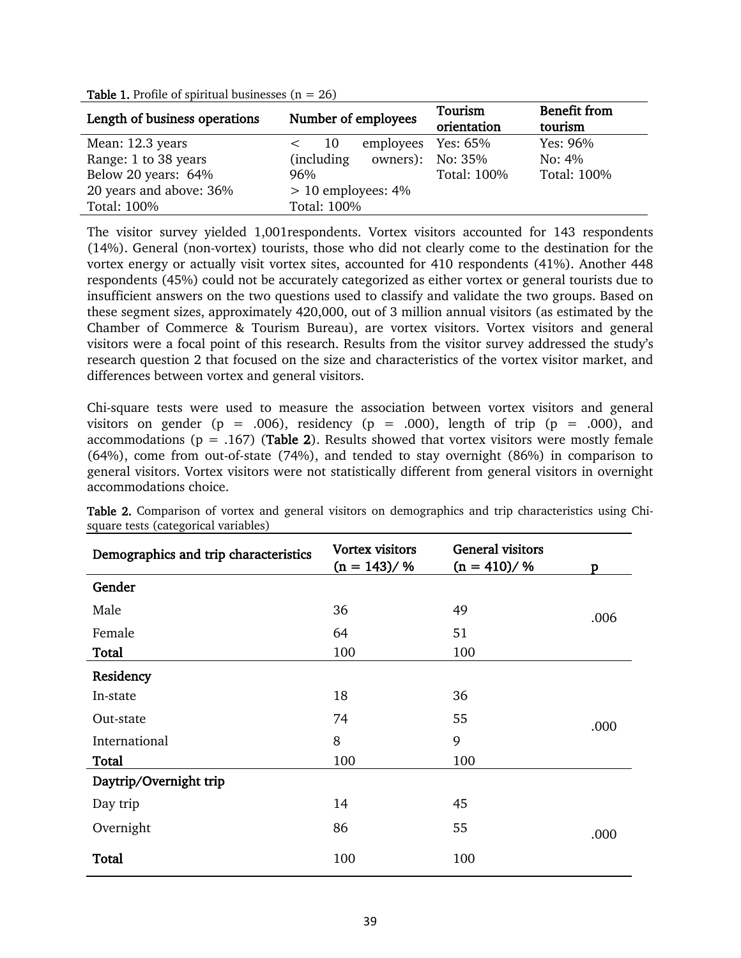| Length of business operations | Number of employees  | Tourism            | <b>Benefit from</b> |  |
|-------------------------------|----------------------|--------------------|---------------------|--|
|                               |                      | orientation        | tourism             |  |
| Mean: 12.3 years              | employees<br>-10     | Yes: 65%           | Yes: 96%            |  |
| Range: 1 to 38 years          | (including)          | owners): No: $35%$ | No: $4\%$           |  |
| Below 20 years: 64%           | 96%                  | Total: 100%        | Total: 100%         |  |
| 20 years and above: 36%       | $> 10$ employees: 4% |                    |                     |  |
| Total: 100%                   | Total: 100%          |                    |                     |  |

**Table 1.** Profile of spiritual businesses  $(n = 26)$ 

The visitor survey yielded 1,001respondents. Vortex visitors accounted for 143 respondents (14%). General (non-vortex) tourists, those who did not clearly come to the destination for the vortex energy or actually visit vortex sites, accounted for 410 respondents (41%). Another 448 respondents (45%) could not be accurately categorized as either vortex or general tourists due to insufficient answers on the two questions used to classify and validate the two groups. Based on these segment sizes, approximately 420,000, out of 3 million annual visitors (as estimated by the Chamber of Commerce & Tourism Bureau), are vortex visitors. Vortex visitors and general visitors were a focal point of this research. Results from the visitor survey addressed the study's research question 2 that focused on the size and characteristics of the vortex visitor market, and differences between vortex and general visitors.

Chi-square tests were used to measure the association between vortex visitors and general visitors on gender (p = .006), residency (p = .000), length of trip (p = .000), and accommodations ( $p = .167$ ) (Table 2). Results showed that vortex visitors were mostly female (64%), come from out-of-state (74%), and tended to stay overnight (86%) in comparison to general visitors. Vortex visitors were not statistically different from general visitors in overnight accommodations choice.

| Demographics and trip characteristics | <b>Vortex visitors</b><br>$(n = 143)/%$ | <b>General visitors</b><br>$(n = 410)/%$ | D    |
|---------------------------------------|-----------------------------------------|------------------------------------------|------|
| Gender                                |                                         |                                          |      |
| Male                                  | 36                                      | 49                                       | .006 |
| Female                                | 64                                      | 51                                       |      |
| Total                                 | 100                                     | 100                                      |      |
| Residency                             |                                         |                                          |      |
| In-state                              | 18                                      | 36                                       |      |
| Out-state                             | 74                                      | 55                                       | .000 |
| International                         | 8                                       | 9                                        |      |
| Total                                 | 100                                     | 100                                      |      |
| Daytrip/Overnight trip                |                                         |                                          |      |
| Day trip                              | 14                                      | 45                                       |      |
| Overnight                             | 86                                      | 55                                       | .000 |
| <b>Total</b>                          | 100                                     | 100                                      |      |

Table 2. Comparison of vortex and general visitors on demographics and trip characteristics using Chisquare tests (categorical variables)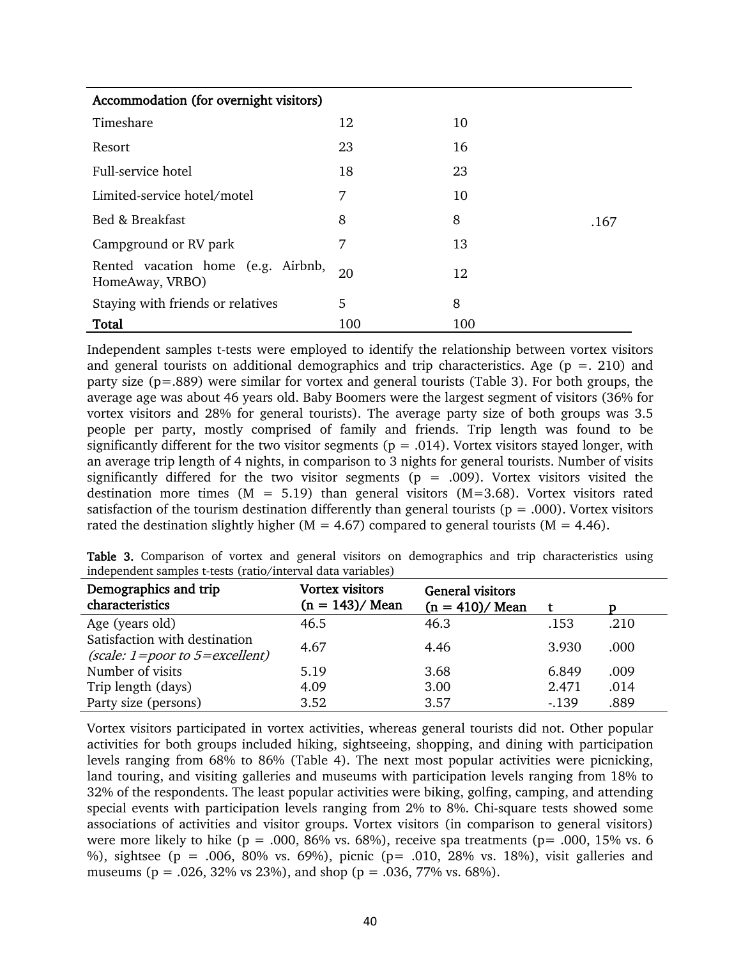| Accommodation (for overnight visitors)                |     |     |      |
|-------------------------------------------------------|-----|-----|------|
| Timeshare                                             | 12  | 10  |      |
| Resort                                                | 23  | 16  |      |
| Full-service hotel                                    | 18  | 23  |      |
| Limited-service hotel/motel                           | 7   | 10  |      |
| Bed & Breakfast                                       | 8   | 8   | .167 |
| Campground or RV park                                 | 7   | 13  |      |
| Rented vacation home (e.g. Airbnb,<br>HomeAway, VRBO) | 20  | 12  |      |
| Staying with friends or relatives                     | 5.  | 8   |      |
| Total                                                 | 100 | 100 |      |

Independent samples t-tests were employed to identify the relationship between vortex visitors and general tourists on additional demographics and trip characteristics. Age ( $p = 0.210$ ) and party size (p=.889) were similar for vortex and general tourists (Table 3). For both groups, the average age was about 46 years old. Baby Boomers were the largest segment of visitors (36% for vortex visitors and 28% for general tourists). The average party size of both groups was 3.5 people per party, mostly comprised of family and friends. Trip length was found to be significantly different for the two visitor segments ( $p = .014$ ). Vortex visitors stayed longer, with an average trip length of 4 nights, in comparison to 3 nights for general tourists. Number of visits significantly differed for the two visitor segments ( $p = .009$ ). Vortex visitors visited the destination more times ( $M = 5.19$ ) than general visitors ( $M=3.68$ ). Vortex visitors rated satisfaction of the tourism destination differently than general tourists ( $p = .000$ ). Vortex visitors rated the destination slightly higher ( $M = 4.67$ ) compared to general tourists ( $M = 4.46$ ).

|                                                             |  |  |  |  | Table 3. Comparison of vortex and general visitors on demographics and trip characteristics using |  |
|-------------------------------------------------------------|--|--|--|--|---------------------------------------------------------------------------------------------------|--|
| independent samples t-tests (ratio/interval data variables) |  |  |  |  |                                                                                                   |  |

| Demographics and trip<br>characteristics | <b>Vortex visitors</b><br>$(n = 143) /$ Mean | <b>General visitors</b><br>$(n = 410) /$ Mean |        |      |
|------------------------------------------|----------------------------------------------|-----------------------------------------------|--------|------|
| Age (years old)                          | 46.5                                         | 46.3                                          | .153   | .210 |
| Satisfaction with destination            | 4.67                                         | 4.46                                          | 3.930  | .000 |
| (scale: $1 = poor$ to $5 = excellent$ )  |                                              |                                               |        |      |
| Number of visits                         | 5.19                                         | 3.68                                          | 6.849  | .009 |
| Trip length (days)                       | 4.09                                         | 3.00                                          | 2.471  | .014 |
| Party size (persons)                     | 3.52                                         | 3.57                                          | $-139$ | .889 |

Vortex visitors participated in vortex activities, whereas general tourists did not. Other popular activities for both groups included hiking, sightseeing, shopping, and dining with participation levels ranging from 68% to 86% (Table 4). The next most popular activities were picnicking, land touring, and visiting galleries and museums with participation levels ranging from 18% to 32% of the respondents. The least popular activities were biking, golfing, camping, and attending special events with participation levels ranging from 2% to 8%. Chi-square tests showed some associations of activities and visitor groups. Vortex visitors (in comparison to general visitors) were more likely to hike (p = .000,  $\frac{86\%}{1}$  vs. 68%), receive spa treatments (p= .000, 15% vs. 6 %), sightsee (p = .006, 80% vs. 69%), picnic (p = .010, 28% vs. 18%), visit galleries and museums ( $p = .026, 32\%$  vs 23%), and shop ( $p = .036, 77\%$  vs. 68%).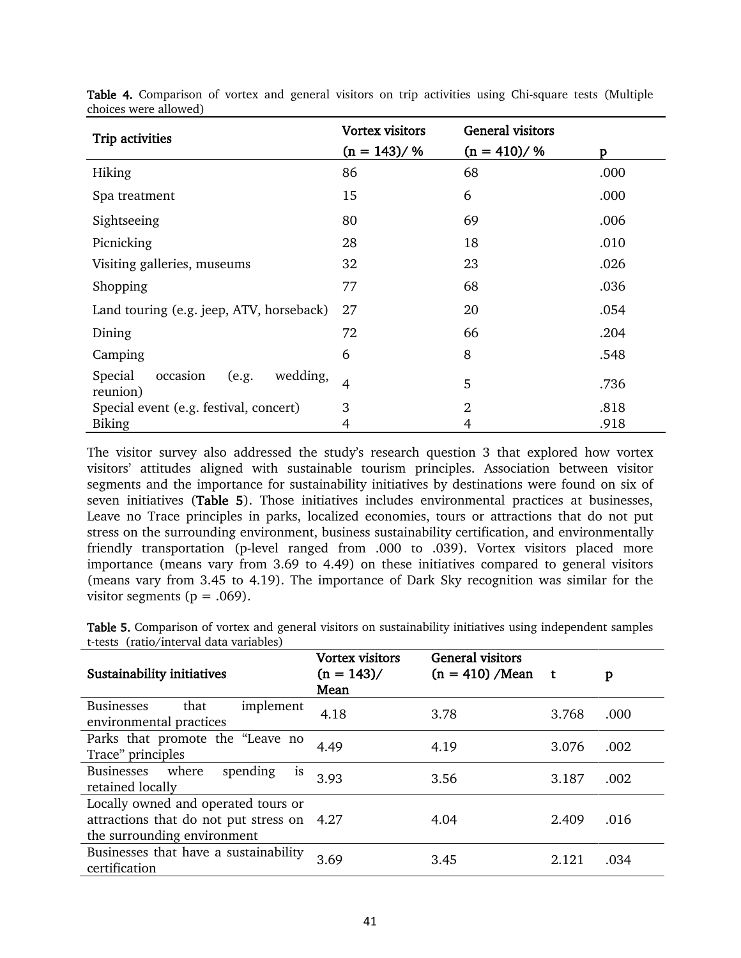| Trip activities                                      | <b>Vortex visitors</b> | <b>General visitors</b> |      |
|------------------------------------------------------|------------------------|-------------------------|------|
|                                                      | $(n = 143)/%$          | $(n = 410)/%$           | D    |
| Hiking                                               | 86                     | 68                      | .000 |
| Spa treatment                                        | 15                     | 6                       | .000 |
| Sightseeing                                          | 80                     | 69                      | .006 |
| Picnicking                                           | 28                     | 18                      | .010 |
| Visiting galleries, museums                          | 32                     | 23                      | .026 |
| Shopping                                             | 77                     | 68                      | .036 |
| Land touring (e.g. jeep, ATV, horseback)             | 27                     | 20                      | .054 |
| Dining                                               | 72                     | 66                      | .204 |
| Camping                                              | 6                      | 8                       | .548 |
| wedding,<br>Special<br>occasion<br>(e.g.<br>reunion) | $\overline{4}$         | 5                       | .736 |
| Special event (e.g. festival, concert)               | 3                      | $\overline{2}$          | .818 |
| <b>Biking</b>                                        | 4                      | 4                       | .918 |

Table 4. Comparison of vortex and general visitors on trip activities using Chi-square tests (Multiple choices were allowed)

The visitor survey also addressed the study's research question 3 that explored how vortex visitors' attitudes aligned with sustainable tourism principles. Association between visitor segments and the importance for sustainability initiatives by destinations were found on six of seven initiatives (Table 5). Those initiatives includes environmental practices at businesses, Leave no Trace principles in parks, localized economies, tours or attractions that do not put stress on the surrounding environment, business sustainability certification, and environmentally friendly transportation (p-level ranged from .000 to .039). Vortex visitors placed more importance (means vary from 3.69 to 4.49) on these initiatives compared to general visitors (means vary from 3.45 to 4.19). The importance of Dark Sky recognition was similar for the visitor segments ( $p = .069$ ).

Table 5. Comparison of vortex and general visitors on sustainability initiatives using independent samples t-tests (ratio/interval data variables)

| Sustainability initiatives                                                                                       | <b>Vortex visitors</b><br>$(n = 143)$ /<br>Mean | <b>General visitors</b><br>$(n = 410)$ /Mean | t t   | p    |
|------------------------------------------------------------------------------------------------------------------|-------------------------------------------------|----------------------------------------------|-------|------|
| <b>Businesses</b><br>that<br>implement<br>environmental practices                                                | 4.18                                            | 3.78                                         | 3.768 | .000 |
| Parks that promote the "Leave no<br>Trace" principles                                                            | 4.49                                            | 4.19                                         | 3.076 | .002 |
| where<br><b>Businesses</b><br>spending<br>is<br>retained locally                                                 | 3.93                                            | 3.56                                         | 3.187 | .002 |
| Locally owned and operated tours or<br>attractions that do not put stress on 4.27<br>the surrounding environment |                                                 | 4.04                                         | 2.409 | .016 |
| Businesses that have a sustainability<br>certification                                                           | 3.69                                            | 3.45                                         | 2.121 | .034 |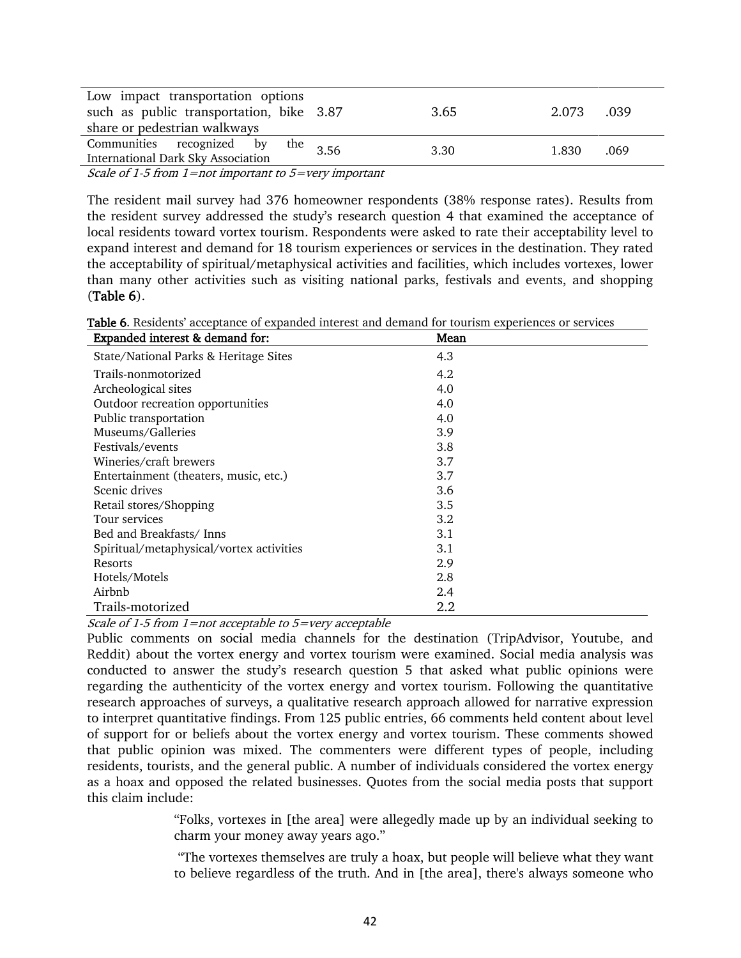| Low impact transportation options<br>such as public transportation, bike 3.87<br>share or pedestrian walkways |      | 3.65 | 2.073 | .039 |
|---------------------------------------------------------------------------------------------------------------|------|------|-------|------|
| Communities recognized by<br>the .<br><b>International Dark Sky Association</b>                               | 3.56 | 3.30 | 1.830 | .069 |
|                                                                                                               |      |      |       |      |

Scale of 1-5 from 1=not important to 5=very important

The resident mail survey had 376 homeowner respondents (38% response rates). Results from the resident survey addressed the study's research question 4 that examined the acceptance of local residents toward vortex tourism. Respondents were asked to rate their acceptability level to expand interest and demand for 18 tourism experiences or services in the destination. They rated the acceptability of spiritual/metaphysical activities and facilities, which includes vortexes, lower than many other activities such as visiting national parks, festivals and events, and shopping (Table 6).

Table 6. Residents' acceptance of expanded interest and demand for tourism experiences or services

| Expanded interest & demand for:          | Mean    |
|------------------------------------------|---------|
| State/National Parks & Heritage Sites    | 4.3     |
| Trails-nonmotorized                      | 4.2     |
| Archeological sites                      | 4.0     |
| Outdoor recreation opportunities         | 4.0     |
| Public transportation                    | 4.0     |
| Museums/Galleries                        | 3.9     |
| Festivals/events                         | 3.8     |
| Wineries/craft brewers                   | 3.7     |
| Entertainment (theaters, music, etc.)    | 3.7     |
| Scenic drives                            | 3.6     |
| Retail stores/Shopping                   | 3.5     |
| Tour services                            | 3.2     |
| Bed and Breakfasts/Inns                  | 3.1     |
| Spiritual/metaphysical/vortex activities | 3.1     |
| Resorts                                  | 2.9     |
| Hotels/Motels                            | 2.8     |
| Airbnb                                   | $2.4\,$ |
| Trails-motorized                         | 2.2     |

Scale of 1-5 from  $1$ =not acceptable to 5=very acceptable

Public comments on social media channels for the destination (TripAdvisor, Youtube, and Reddit) about the vortex energy and vortex tourism were examined. Social media analysis was conducted to answer the study's research question 5 that asked what public opinions were regarding the authenticity of the vortex energy and vortex tourism. Following the quantitative research approaches of surveys, a qualitative research approach allowed for narrative expression to interpret quantitative findings. From 125 public entries, 66 comments held content about level of support for or beliefs about the vortex energy and vortex tourism. These comments showed that public opinion was mixed. The commenters were different types of people, including residents, tourists, and the general public. A number of individuals considered the vortex energy as a hoax and opposed the related businesses. Quotes from the social media posts that support this claim include:

> "Folks, vortexes in [the area] were allegedly made up by an individual seeking to charm your money away years ago."

> "The vortexes themselves are truly a hoax, but people will believe what they want to believe regardless of the truth. And in [the area], there's always someone who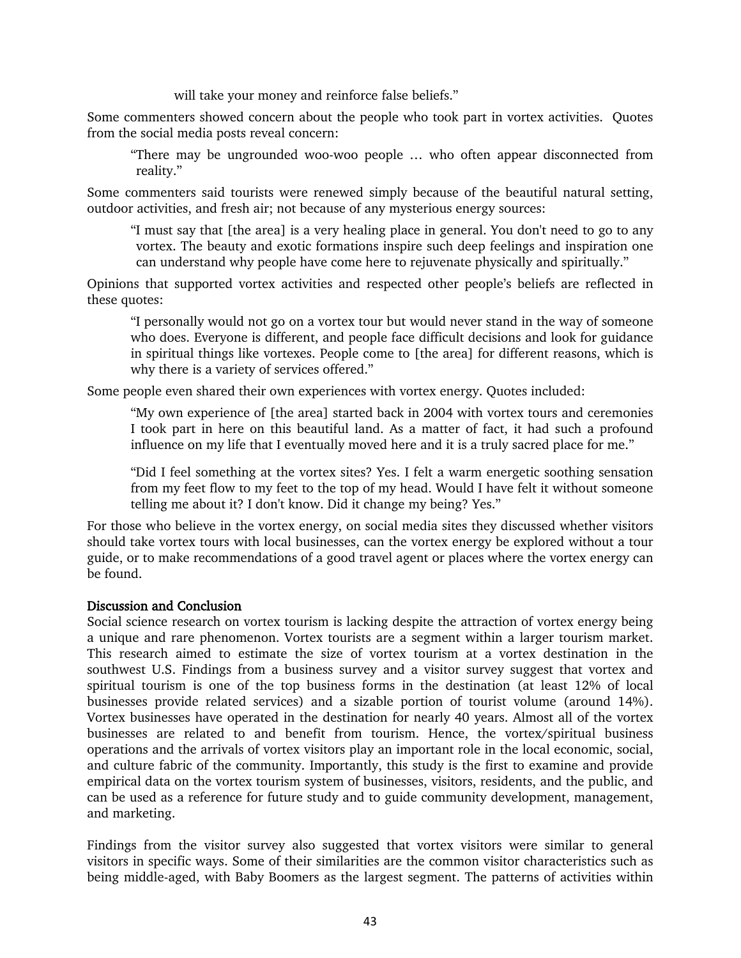will take your money and reinforce false beliefs."

Some commenters showed concern about the people who took part in vortex activities. Quotes from the social media posts reveal concern:

"There may be ungrounded woo-woo people … who often appear disconnected from reality."

Some commenters said tourists were renewed simply because of the beautiful natural setting, outdoor activities, and fresh air; not because of any mysterious energy sources:

"I must say that [the area] is a very healing place in general. You don't need to go to any vortex. The beauty and exotic formations inspire such deep feelings and inspiration one can understand why people have come here to rejuvenate physically and spiritually."

Opinions that supported vortex activities and respected other people's beliefs are reflected in these quotes:

"I personally would not go on a vortex tour but would never stand in the way of someone who does. Everyone is different, and people face difficult decisions and look for guidance in spiritual things like vortexes. People come to [the area] for different reasons, which is why there is a variety of services offered."

Some people even shared their own experiences with vortex energy. Quotes included:

"My own experience of [the area] started back in 2004 with vortex tours and ceremonies I took part in here on this beautiful land. As a matter of fact, it had such a profound influence on my life that I eventually moved here and it is a truly sacred place for me."

"Did I feel something at the vortex sites? Yes. I felt a warm energetic soothing sensation from my feet flow to my feet to the top of my head. Would I have felt it without someone telling me about it? I don't know. Did it change my being? Yes."

For those who believe in the vortex energy, on social media sites they discussed whether visitors should take vortex tours with local businesses, can the vortex energy be explored without a tour guide, or to make recommendations of a good travel agent or places where the vortex energy can be found.

# Discussion and Conclusion

Social science research on vortex tourism is lacking despite the attraction of vortex energy being a unique and rare phenomenon. Vortex tourists are a segment within a larger tourism market. This research aimed to estimate the size of vortex tourism at a vortex destination in the southwest U.S. Findings from a business survey and a visitor survey suggest that vortex and spiritual tourism is one of the top business forms in the destination (at least 12% of local businesses provide related services) and a sizable portion of tourist volume (around 14%). Vortex businesses have operated in the destination for nearly 40 years. Almost all of the vortex businesses are related to and benefit from tourism. Hence, the vortex/spiritual business operations and the arrivals of vortex visitors play an important role in the local economic, social, and culture fabric of the community. Importantly, this study is the first to examine and provide empirical data on the vortex tourism system of businesses, visitors, residents, and the public, and can be used as a reference for future study and to guide community development, management, and marketing.

Findings from the visitor survey also suggested that vortex visitors were similar to general visitors in specific ways. Some of their similarities are the common visitor characteristics such as being middle-aged, with Baby Boomers as the largest segment. The patterns of activities within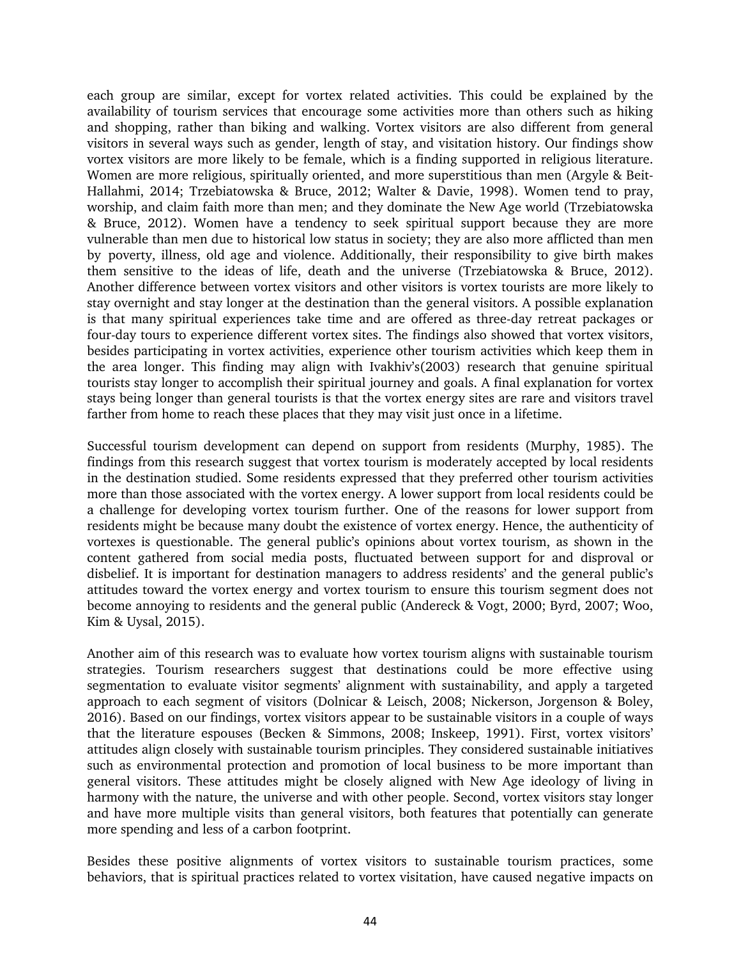each group are similar, except for vortex related activities. This could be explained by the availability of tourism services that encourage some activities more than others such as hiking and shopping, rather than biking and walking. Vortex visitors are also different from general visitors in several ways such as gender, length of stay, and visitation history. Our findings show vortex visitors are more likely to be female, which is a finding supported in religious literature. Women are more religious, spiritually oriented, and more superstitious than men (Argyle & Beit-Hallahmi, 2014; Trzebiatowska & Bruce, 2012; Walter & Davie, 1998). Women tend to pray, worship, and claim faith more than men; and they dominate the New Age world (Trzebiatowska & Bruce, 2012). Women have a tendency to seek spiritual support because they are more vulnerable than men due to historical low status in society; they are also more afflicted than men by poverty, illness, old age and violence. Additionally, their responsibility to give birth makes them sensitive to the ideas of life, death and the universe (Trzebiatowska & Bruce, 2012). Another difference between vortex visitors and other visitors is vortex tourists are more likely to stay overnight and stay longer at the destination than the general visitors. A possible explanation is that many spiritual experiences take time and are offered as three-day retreat packages or four-day tours to experience different vortex sites. The findings also showed that vortex visitors, besides participating in vortex activities, experience other tourism activities which keep them in the area longer. This finding may align with Ivakhiv's(2003) research that genuine spiritual tourists stay longer to accomplish their spiritual journey and goals. A final explanation for vortex stays being longer than general tourists is that the vortex energy sites are rare and visitors travel farther from home to reach these places that they may visit just once in a lifetime.

Successful tourism development can depend on support from residents (Murphy, 1985). The findings from this research suggest that vortex tourism is moderately accepted by local residents in the destination studied. Some residents expressed that they preferred other tourism activities more than those associated with the vortex energy. A lower support from local residents could be a challenge for developing vortex tourism further. One of the reasons for lower support from residents might be because many doubt the existence of vortex energy. Hence, the authenticity of vortexes is questionable. The general public's opinions about vortex tourism, as shown in the content gathered from social media posts, fluctuated between support for and disproval or disbelief. It is important for destination managers to address residents' and the general public's attitudes toward the vortex energy and vortex tourism to ensure this tourism segment does not become annoying to residents and the general public (Andereck & Vogt, 2000; Byrd, 2007; Woo, Kim & Uysal, 2015).

Another aim of this research was to evaluate how vortex tourism aligns with sustainable tourism strategies. Tourism researchers suggest that destinations could be more effective using segmentation to evaluate visitor segments' alignment with sustainability, and apply a targeted approach to each segment of visitors (Dolnicar & Leisch, 2008; Nickerson, Jorgenson & Boley, 2016). Based on our findings, vortex visitors appear to be sustainable visitors in a couple of ways that the literature espouses (Becken & Simmons, 2008; Inskeep, 1991). First, vortex visitors' attitudes align closely with sustainable tourism principles. They considered sustainable initiatives such as environmental protection and promotion of local business to be more important than general visitors. These attitudes might be closely aligned with New Age ideology of living in harmony with the nature, the universe and with other people. Second, vortex visitors stay longer and have more multiple visits than general visitors, both features that potentially can generate more spending and less of a carbon footprint.

Besides these positive alignments of vortex visitors to sustainable tourism practices, some behaviors, that is spiritual practices related to vortex visitation, have caused negative impacts on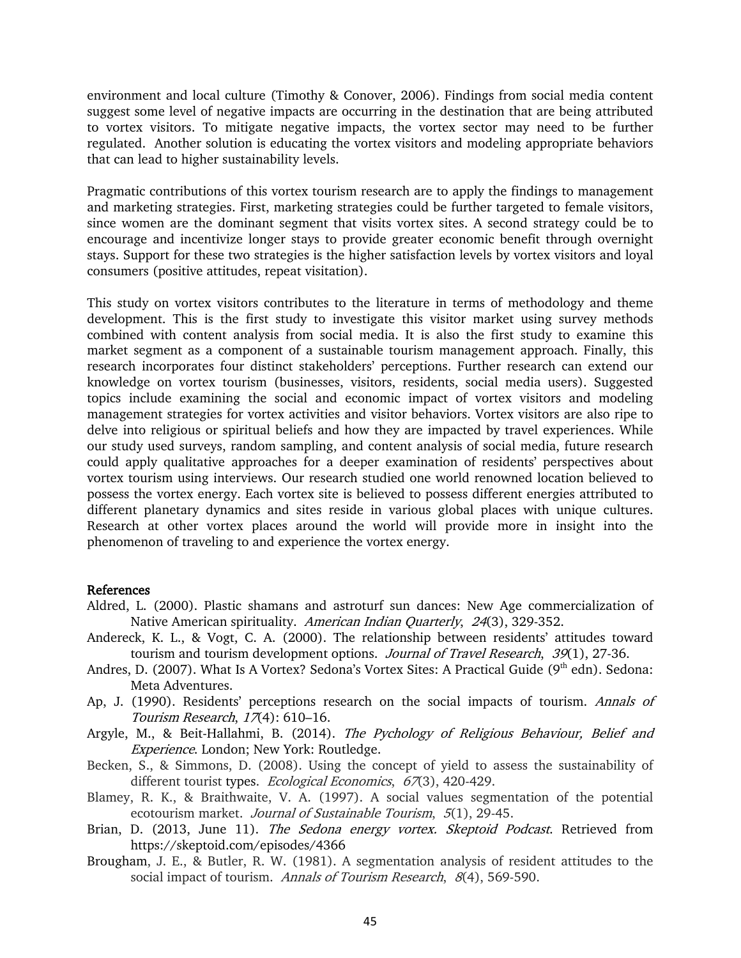environment and local culture (Timothy & Conover, 2006). Findings from social media content suggest some level of negative impacts are occurring in the destination that are being attributed to vortex visitors. To mitigate negative impacts, the vortex sector may need to be further regulated. Another solution is educating the vortex visitors and modeling appropriate behaviors that can lead to higher sustainability levels.

Pragmatic contributions of this vortex tourism research are to apply the findings to management and marketing strategies. First, marketing strategies could be further targeted to female visitors, since women are the dominant segment that visits vortex sites. A second strategy could be to encourage and incentivize longer stays to provide greater economic benefit through overnight stays. Support for these two strategies is the higher satisfaction levels by vortex visitors and loyal consumers (positive attitudes, repeat visitation).

This study on vortex visitors contributes to the literature in terms of methodology and theme development. This is the first study to investigate this visitor market using survey methods combined with content analysis from social media. It is also the first study to examine this market segment as a component of a sustainable tourism management approach. Finally, this research incorporates four distinct stakeholders' perceptions. Further research can extend our knowledge on vortex tourism (businesses, visitors, residents, social media users). Suggested topics include examining the social and economic impact of vortex visitors and modeling management strategies for vortex activities and visitor behaviors. Vortex visitors are also ripe to delve into religious or spiritual beliefs and how they are impacted by travel experiences. While our study used surveys, random sampling, and content analysis of social media, future research could apply qualitative approaches for a deeper examination of residents' perspectives about vortex tourism using interviews. Our research studied one world renowned location believed to possess the vortex energy. Each vortex site is believed to possess different energies attributed to different planetary dynamics and sites reside in various global places with unique cultures. Research at other vortex places around the world will provide more in insight into the phenomenon of traveling to and experience the vortex energy.

#### References

- Aldred, L. (2000). Plastic shamans and astroturf sun dances: New Age commercialization of Native American spirituality. American Indian Quarterly, 24(3), 329-352.
- Andereck, K. L., & Vogt, C. A. (2000). The relationship between residents' attitudes toward tourism and tourism development options. Journal of Travel Research, 39(1), 27-36.
- Andres, D. (2007). What Is A Vortex? Sedona's Vortex Sites: A Practical Guide (9<sup>th</sup> edn). Sedona: Meta Adventures.
- Ap, J. (1990). Residents' perceptions research on the social impacts of tourism. Annals of Tourism Research, 17(4): 610–16.
- Argyle, M., & Beit-Hallahmi, B. (2014). The Pychology of Religious Behaviour, Belief and Experience. London; New York: Routledge.
- Becken, S., & Simmons, D. (2008). Using the concept of yield to assess the sustainability of different tourist types. Ecological Economics, 67(3), 420-429.
- Blamey, R. K., & Braithwaite, V. A. (1997). A social values segmentation of the potential ecotourism market. Journal of Sustainable Tourism, 5(1), 29-45.
- Brian, D. (2013, June 11). The Sedona energy vortex. Skeptoid Podcast. Retrieved from https://skeptoid.com/episodes/4366
- Brougham, J. E., & Butler, R. W. (1981). A segmentation analysis of resident attitudes to the social impact of tourism. Annals of Tourism Research, 8(4), 569-590.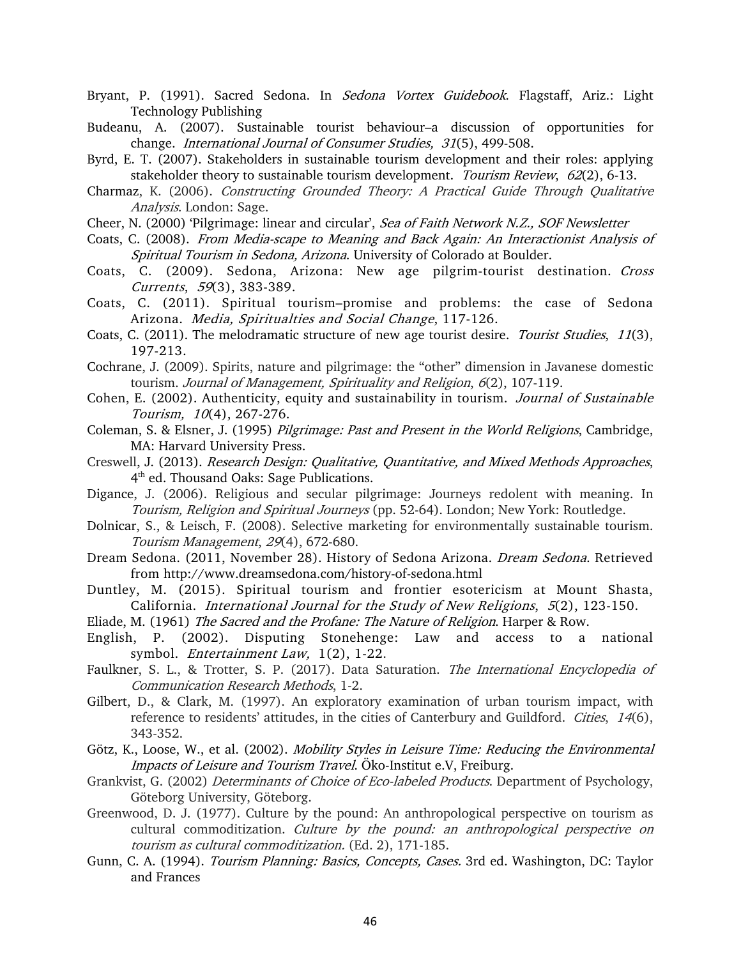- Bryant, P. (1991). Sacred Sedona. In Sedona Vortex Guidebook. Flagstaff, Ariz.: Light Technology Publishing
- Budeanu, A. (2007). Sustainable tourist behaviour–a discussion of opportunities for change. *International Journal of Consumer Studies*, 31(5), 499-508.
- Byrd, E. T. (2007). Stakeholders in sustainable tourism development and their roles: applying stakeholder theory to sustainable tourism development. Tourism Review, 62(2), 6-13.
- Charmaz, K. (2006). Constructing Grounded Theory: A Practical Guide Through Qualitative Analysis. London: Sage.
- Cheer, N. (2000) 'Pilgrimage: linear and circular', Sea of Faith Network N.Z., SOF Newsletter
- Coats, C. (2008). From Media-scape to Meaning and Back Again: An Interactionist Analysis of Spiritual Tourism in Sedona, Arizona. University of Colorado at Boulder.
- Coats, C. (2009). Sedona, Arizona: New age pilgrim-tourist destination. Cross Currents, 59(3), 383-389.
- Coats, C. (2011). Spiritual tourism–promise and problems: the case of Sedona Arizona. Media, Spiritualties and Social Change, 117-126.
- Coats, C. (2011). The melodramatic structure of new age tourist desire. *Tourist Studies*, 11(3), 197-213.
- Cochrane, J. (2009). Spirits, nature and pilgrimage: the "other" dimension in Javanese domestic tourism. Journal of Management, Spirituality and Religion, 6(2), 107-119.
- Cohen, E. (2002). Authenticity, equity and sustainability in tourism. Journal of Sustainable Tourism, <sup>10</sup>(4), 267-276.
- Coleman, S. & Elsner, J. (1995) Pilgrimage: Past and Present in the World Religions, Cambridge, MA: Harvard University Press.
- Creswell, J. (2013). Research Design: Qualitative, Quantitative, and Mixed Methods Approaches, 4<sup>th</sup> ed. Thousand Oaks: Sage Publications.
- Digance, J. (2006). Religious and secular pilgrimage: Journeys redolent with meaning. In Tourism, Religion and Spiritual Journeys (pp. 52-64). London; New York: Routledge.
- Dolnicar, S., & Leisch, F. (2008). Selective marketing for environmentally sustainable tourism. Tourism Management, 29(4), 672-680.
- Dream Sedona. (2011, November 28). History of Sedona Arizona. Dream Sedona. Retrieved from http://www.dreamsedona.com/history-of-sedona.html
- Duntley, M. (2015). Spiritual tourism and frontier esotericism at Mount Shasta, California. International Journal for the Study of New Religions, 5(2), 123-150.
- Eliade, M. (1961) The Sacred and the Profane: The Nature of Religion. Harper & Row.
- English, P. (2002). Disputing Stonehenge: Law and access to a national symbol. *Entertainment Law*, 1(2), 1-22.
- Faulkner, S. L., & Trotter, S. P. (2017). Data Saturation. The International Encyclopedia of Communication Research Methods, 1-2.
- Gilbert, D., & Clark, M. (1997). An exploratory examination of urban tourism impact, with reference to residents' attitudes, in the cities of Canterbury and Guildford. Cities, 14(6), 343-352.
- Götz, K., Loose, W., et al. (2002). *Mobility Styles in Leisure Time: Reducing the Environmental* Impacts of Leisure and Tourism Travel. Öko-Institut e.V, Freiburg.
- Grankvist, G. (2002) Determinants of Choice of Eco-labeled Products. Department of Psychology, Göteborg University, Göteborg.
- Greenwood, D. J. (1977). Culture by the pound: An anthropological perspective on tourism as cultural commoditization. Culture by the pound: an anthropological perspective on tourism as cultural commoditization. (Ed. 2), 171-185.
- Gunn, C. A. (1994). *Tourism Planning: Basics, Concepts, Cases.* 3rd ed. Washington, DC: Taylor and Frances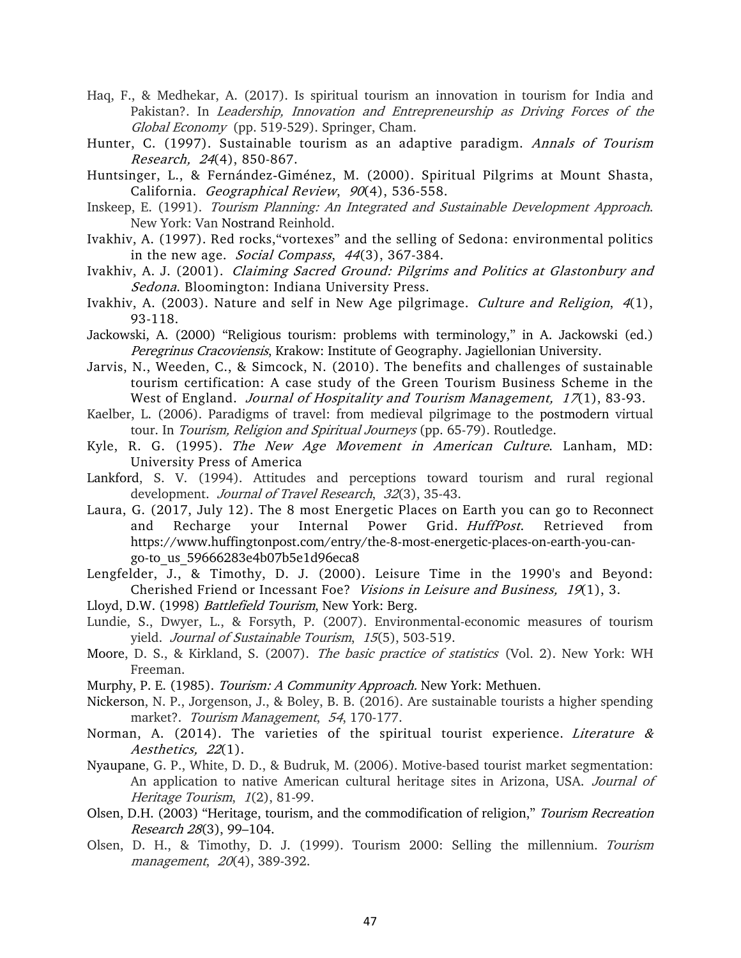- Haq, F., & Medhekar, A. (2017). Is spiritual tourism an innovation in tourism for India and Pakistan?. In Leadership, Innovation and Entrepreneurship as Driving Forces of the Global Economy (pp. 519-529). Springer, Cham.
- Hunter, C. (1997). Sustainable tourism as an adaptive paradigm. Annals of Tourism Research, 24(4), 850-867.
- Huntsinger, L., & Fernández‐Giménez, M. (2000). Spiritual Pilgrims at Mount Shasta, California. Geographical Review, 90(4), 536-558.
- Inskeep, E. (1991). Tourism Planning: An Integrated and Sustainable Development Approach. New York: Van Nostrand Reinhold.
- Ivakhiv, A. (1997). Red rocks,"vortexes" and the selling of Sedona: environmental politics in the new age. *Social Compass*, 44(3), 367-384.
- Ivakhiv, A. J. (2001). Claiming Sacred Ground: Pilgrims and Politics at Glastonbury and Sedona. Bloomington: Indiana University Press.
- Ivakhiv, A. (2003). Nature and self in New Age pilgrimage. Culture and Religion, 4(1), 93-118.
- Jackowski, A. (2000) "Religious tourism: problems with terminology," in A. Jackowski (ed.) Peregrinus Cracoviensis, Krakow: Institute of Geography. Jagiellonian University.
- Jarvis, N., Weeden, C., & Simcock, N. (2010). The benefits and challenges of sustainable tourism certification: A case study of the Green Tourism Business Scheme in the West of England. Journal of Hospitality and Tourism Management, 17(1), 83-93.
- Kaelber, L. (2006). Paradigms of travel: from medieval pilgrimage to the postmodern virtual tour. In Tourism, Religion and Spiritual Journeys (pp. 65-79). Routledge.
- Kyle, R. G. (1995). The New Age Movement in American Culture. Lanham, MD: University Press of America
- Lankford, S. V. (1994). Attitudes and perceptions toward tourism and rural regional development. Journal of Travel Research, 32(3), 35-43.
- Laura, G. (2017, July 12). The 8 most Energetic Places on Earth you can go to Reconnect and Recharge your Internal Power Grid. HuffPost. Retrieved from https://www.huffingtonpost.com/entry/the-8-most-energetic-places-on-earth-you-cango-to\_us\_59666283e4b07b5e1d96eca8
- Lengfelder, J., & Timothy, D. J. (2000). Leisure Time in the 1990's and Beyond: Cherished Friend or Incessant Foe? Visions in Leisure and Business, 19(1), 3.
- Lloyd, D.W. (1998) Battlefield Tourism, New York: Berg.
- Lundie, S., Dwyer, L., & Forsyth, P. (2007). Environmental-economic measures of tourism yield. Journal of Sustainable Tourism, 15(5), 503-519.
- Moore, D. S., & Kirkland, S. (2007). The basic practice of statistics (Vol. 2). New York: WH Freeman.
- Murphy, P. E. (1985). *Tourism: A Community Approach.* New York: Methuen.
- Nickerson, N. P., Jorgenson, J., & Boley, B. B. (2016). Are sustainable tourists a higher spending market?. Tourism Management, 54, 170-177.
- Norman, A. (2014). The varieties of the spiritual tourist experience. Literature  $\&$ Aesthetics, 22(1).
- Nyaupane, G. P., White, D. D., & Budruk, M. (2006). Motive-based tourist market segmentation: An application to native American cultural heritage sites in Arizona, USA. Journal of Heritage Tourism, 1(2), 81-99.
- Olsen, D.H. (2003) "Heritage, tourism, and the commodification of religion," Tourism Recreation Research 28(3), 99–104.
- Olsen, D. H., & Timothy, D. J. (1999). Tourism 2000: Selling the millennium. Tourism management, 20(4), 389-392.